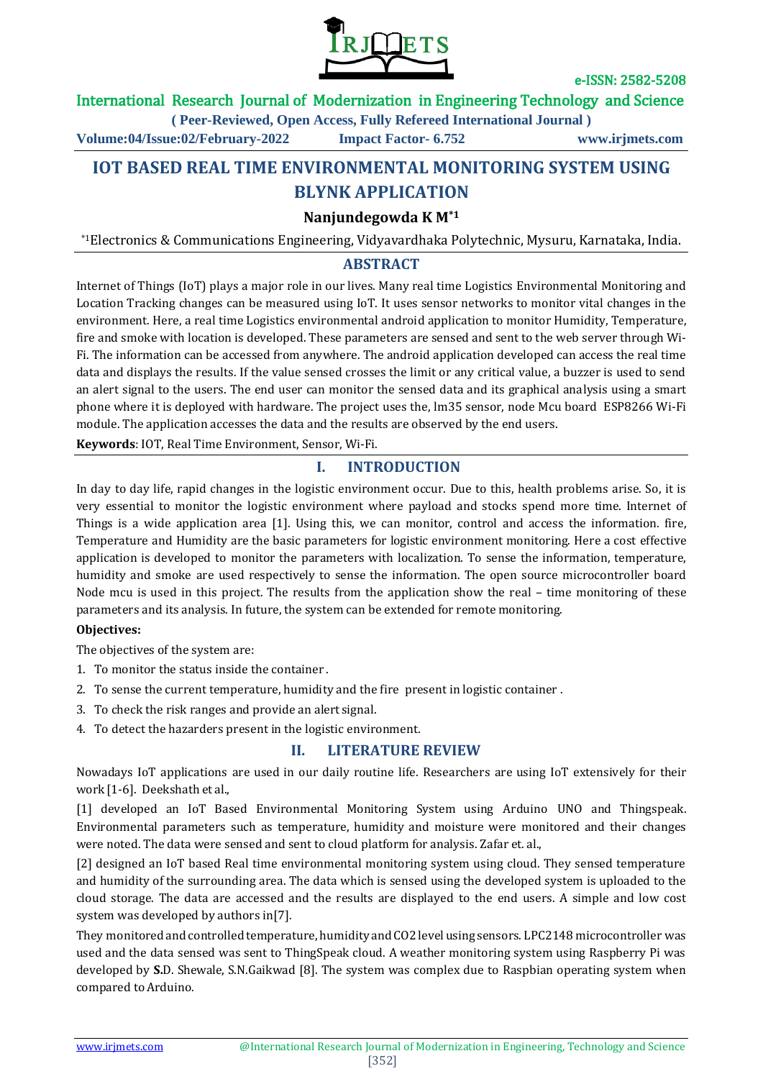

### International Research Journal of Modernization in Engineering Technology and Science

**( Peer-Reviewed, Open Access, Fully Refereed International Journal )**

**Volume:04/Issue:02/February-2022 Impact Factor- 6.752 www.irjmets.com**

# **IOT BASED REAL TIME ENVIRONMENTAL MONITORING SYSTEM USING BLYNK APPLICATION**

## **Nanjundegowda K M\*1**

\*1Electronics & Communications Engineering, Vidyavardhaka Polytechnic, Mysuru, Karnataka, India.

### **ABSTRACT**

Internet of Things (IoT) plays a major role in our lives. Many real time Logistics Environmental Monitoring and Location Tracking changes can be measured using IoT. It uses sensor networks to monitor vital changes in the environment. Here, a real time Logistics environmental android application to monitor Humidity, Temperature, fire and smoke with location is developed. These parameters are sensed and sent to the web server through Wi-Fi. The information can be accessed from anywhere. The android application developed can access the real time data and displays the results. If the value sensed crosses the limit or any critical value, a buzzer is used to send an alert signal to the users. The end user can monitor the sensed data and its graphical analysis using a smart phone where it is deployed with hardware. The project uses the, lm35 sensor, node Mcu board ESP8266 Wi-Fi module. The application accesses the data and the results are observed by the end users.

**Keywords**: IOT, Real Time Environment, Sensor, Wi-Fi.

### **I. INTRODUCTION**

In day to day life, rapid changes in the logistic environment occur. Due to this, health problems arise. So, it is very essential to monitor the logistic environment where payload and stocks spend more time. Internet of Things is a wide application area [1]. Using this, we can monitor, control and access the information. fire, Temperature and Humidity are the basic parameters for logistic environment monitoring. Here a cost effective application is developed to monitor the parameters with localization. To sense the information, temperature, humidity and smoke are used respectively to sense the information. The open source microcontroller board Node mcu is used in this project. The results from the application show the real – time monitoring of these parameters and its analysis. In future, the system can be extended for remote monitoring.

#### **Objectives:**

The objectives of the system are:

- 1. To monitor the status inside the container .
- 2. To sense the current temperature, humidity and the fire present in logistic container .
- 3. To check the risk ranges and provide an alert signal.
- 4. To detect the hazarders present in the logistic environment.

### **II. LITERATURE REVIEW**

Nowadays IoT applications are used in our daily routine life. Researchers are using IoT extensively for their work [1-6]. Deekshath et al.,

[1] developed an IoT Based Environmental Monitoring System using Arduino UNO and Thingspeak. Environmental parameters such as temperature, humidity and moisture were monitored and their changes were noted. The data were sensed and sent to cloud platform for analysis. Zafar et. al.,

[2] designed an IoT based Real time environmental monitoring system using cloud. They sensed temperature and humidity of the surrounding area. The data which is sensed using the developed system is uploaded to the cloud storage. The data are accessed and the results are displayed to the end users. A simple and low cost system was developed by authors in[7].

They monitored and controlled temperature, humidity and CO2 level using sensors. LPC2148 microcontroller was used and the data sensed was sent to ThingSpeak cloud. A weather monitoring system using Raspberry Pi was developed by **S.**D. Shewale, S.N.Gaikwad [8]. The system was complex due to Raspbian operating system when compared toArduino.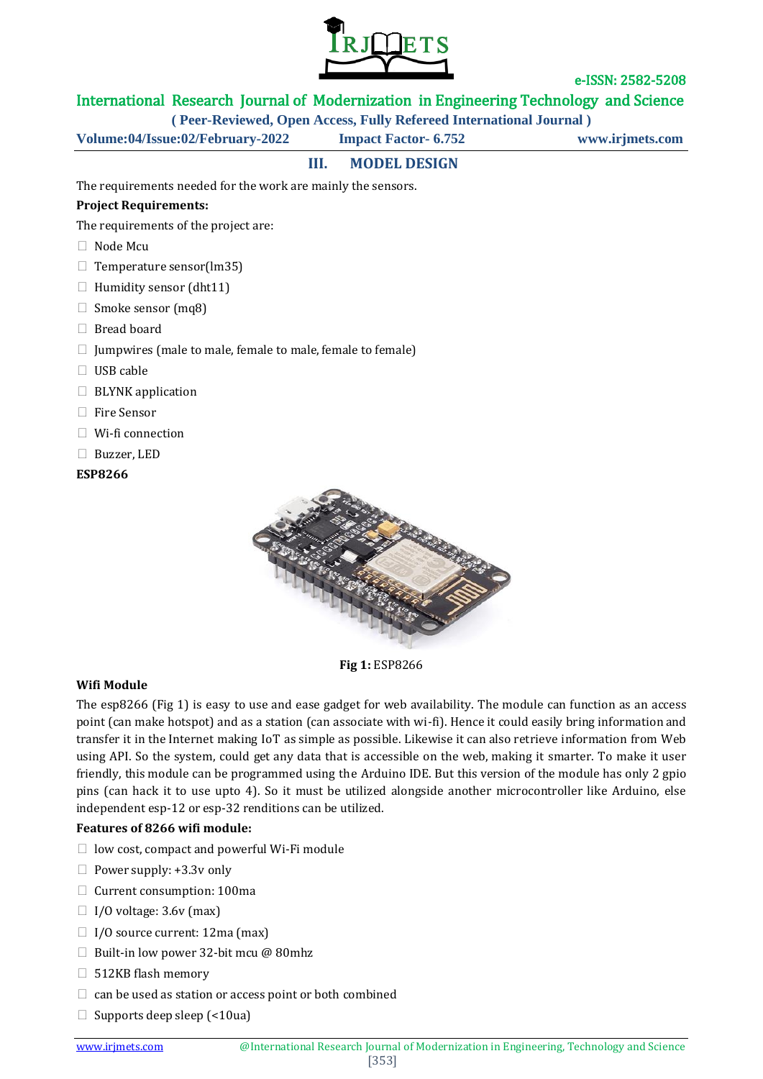

### International Research Journal of Modernization in Engineering Technology and Science

**( Peer-Reviewed, Open Access, Fully Refereed International Journal )**

**Volume:04/Issue:02/February-2022 Impact Factor- 6.752 www.irjmets.com**

# **III. MODEL DESIGN**

The requirements needed for the work are mainly the sensors.

### **Project Requirements:**

The requirements of the project are:

- □ Node Mcu
- $\Box$  Temperature sensor(lm35)
- $\Box$  Humidity sensor (dht11)
- $\Box$  Smoke sensor (mq8)
- □ Bread board
- $\Box$  Jumpwires (male to male, female to male, female to female)
- ⮚ USB cable
- $\Box$  BLYNK application
- □ Fire Sensor
- $\Box$  Wi-fi connection
- ⮚ Buzzer, LED
- **ESP8266**



**Fig 1:** ESP8266

#### **Wifi Module**

The esp8266 (Fig 1) is easy to use and ease gadget for web availability. The module can function as an access point (can make hotspot) and as a station (can associate with wi-fi). Hence it could easily bring information and transfer it in the Internet making IoT as simple as possible. Likewise it can also retrieve information from Web using API. So the system, could get any data that is accessible on the web, making it smarter. To make it user friendly, this module can be programmed using the Arduino IDE. But this version of the module has only 2 gpio pins (can hack it to use upto 4). So it must be utilized alongside another microcontroller like Arduino, else independent esp-12 or esp-32 renditions can be utilized.

#### **Features of 8266 wifi module:**

- $\Box$  low cost, compact and powerful Wi-Fi module
- $\Box$  Power supply: +3.3v only
- □ Current consumption: 100ma
- $\Box$  I/O voltage: 3.6v (max)
- $\Box$  I/O source current: 12ma (max)
- $\Box$  Built-in low power 32-bit mcu @ 80mhz
- □ 512KB flash memory
- $\Box$  can be used as station or access point or both combined
- $\Box$  Supports deep sleep (<10ua)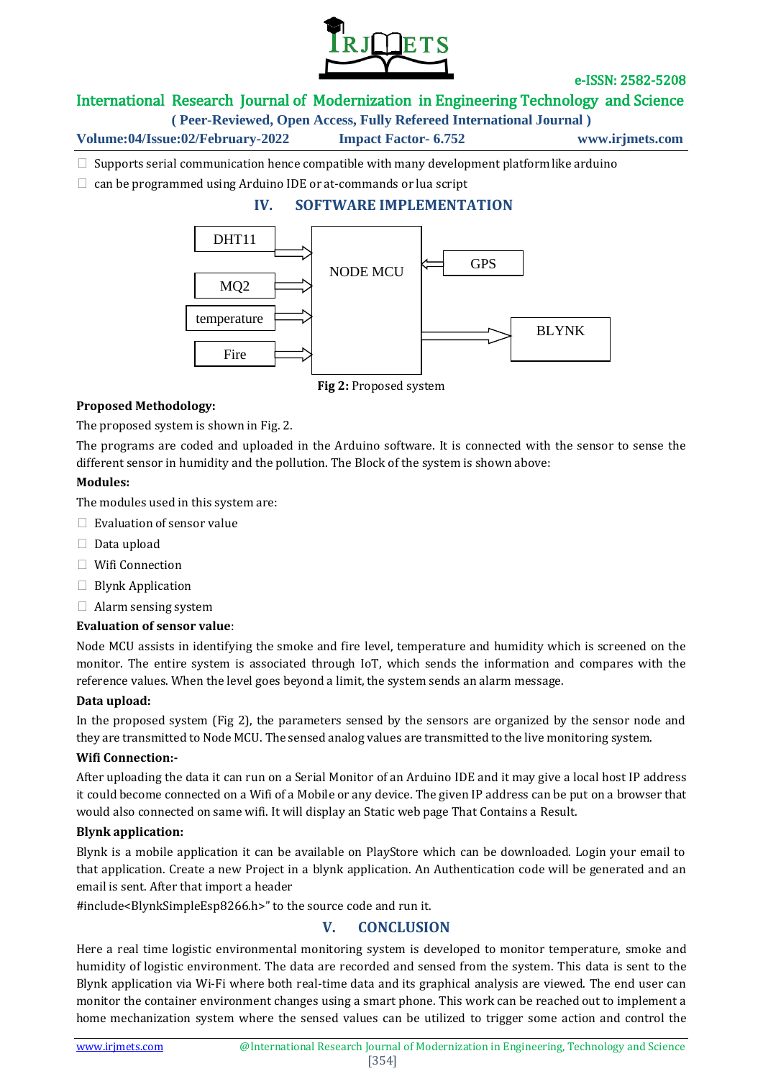

### International Research Journal of Modernization in Engineering Technology and Science

**( Peer-Reviewed, Open Access, Fully Refereed International Journal )**

**Volume:04/Issue:02/February-2022 Impact Factor- 6.752 www.irjmets.com**

 $\Box$  Supports serial communication hence compatible with many development platform like arduino

 $\Box$  can be programmed using Arduino IDE or at-commands or lua script

### **IV. SOFTWARE IMPLEMENTATION**



**Fig 2:** Proposed system

#### **Proposed Methodology:**

The proposed system is shown in Fig. 2.

The programs are coded and uploaded in the Arduino software. It is connected with the sensor to sense the different sensor in humidity and the pollution. The Block of the system is shown above:

#### **Modules:**

The modules used in this system are:

- $\Box$  Evaluation of sensor value
- $\Box$  Data upload
- ⮚ Wifi Connection
- $\Box$  Blynk Application
- $\Box$  Alarm sensing system

#### **Evaluation of sensor value**:

Node MCU assists in identifying the smoke and fire level, temperature and humidity which is screened on the monitor. The entire system is associated through IoT, which sends the information and compares with the reference values. When the level goes beyond a limit, the system sends an alarm message.

#### **Data upload:**

In the proposed system (Fig 2), the parameters sensed by the sensors are organized by the sensor node and they are transmitted to Node MCU. The sensed analog values are transmitted to the live monitoring system.

#### **Wifi Connection:-**

After uploading the data it can run on a Serial Monitor of an Arduino IDE and it may give a local host IP address it could become connected on a Wifi of a Mobile or any device. The given IP address can be put on a browser that would also connected on same wifi. It will display an Static web page That Contains a Result.

### **Blynk application:**

Blynk is a mobile application it can be available on PlayStore which can be downloaded. Login your email to that application. Create a new Project in a blynk application. An Authentication code will be generated and an email is sent. After that import a header

#include<BlynkSimpleEsp8266.h>" to the source code and run it.

# **V. CONCLUSION**

Here a real time logistic environmental monitoring system is developed to monitor temperature, smoke and humidity of logistic environment. The data are recorded and sensed from the system. This data is sent to the Blynk application via Wi-Fi where both real-time data and its graphical analysis are viewed. The end user can monitor the container environment changes using a smart phone. This work can be reached out to implement a home mechanization system where the sensed values can be utilized to trigger some action and control the